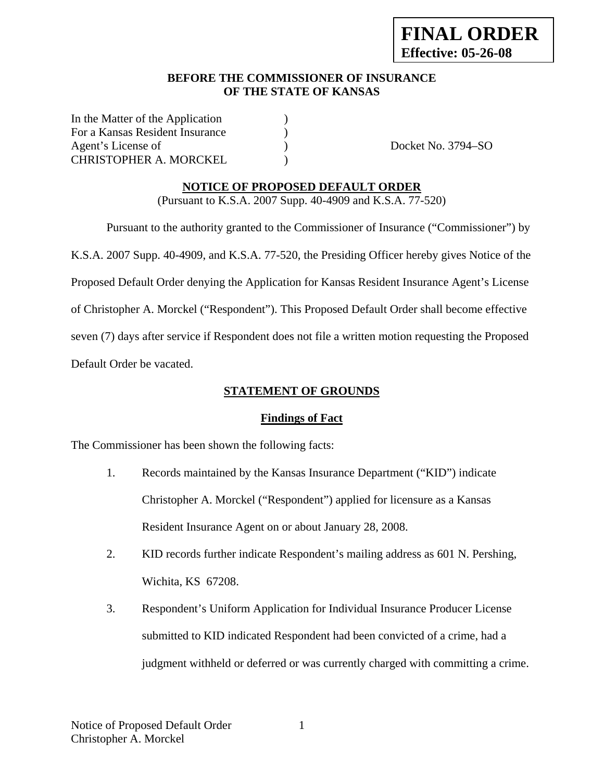## **BEFORE THE COMMISSIONER OF INSURANCE OF THE STATE OF KANSAS**

In the Matter of the Application ) For a Kansas Resident Insurance (a) Agent's License of  $Docket No. 3794-SO$ CHRISTOPHER A. MORCKEL (1998)

## **NOTICE OF PROPOSED DEFAULT ORDER**

(Pursuant to K.S.A. 2007 Supp. 40-4909 and K.S.A. 77-520)

 Pursuant to the authority granted to the Commissioner of Insurance ("Commissioner") by K.S.A. 2007 Supp. 40-4909, and K.S.A. 77-520, the Presiding Officer hereby gives Notice of the Proposed Default Order denying the Application for Kansas Resident Insurance Agent's License of Christopher A. Morckel ("Respondent"). This Proposed Default Order shall become effective seven (7) days after service if Respondent does not file a written motion requesting the Proposed Default Order be vacated.

# **STATEMENT OF GROUNDS**

#### **Findings of Fact**

The Commissioner has been shown the following facts:

- 1. Records maintained by the Kansas Insurance Department ("KID") indicate Christopher A. Morckel ("Respondent") applied for licensure as a Kansas Resident Insurance Agent on or about January 28, 2008.
- 2. KID records further indicate Respondent's mailing address as 601 N. Pershing, Wichita, KS 67208.
- 3. Respondent's Uniform Application for Individual Insurance Producer License submitted to KID indicated Respondent had been convicted of a crime, had a judgment withheld or deferred or was currently charged with committing a crime.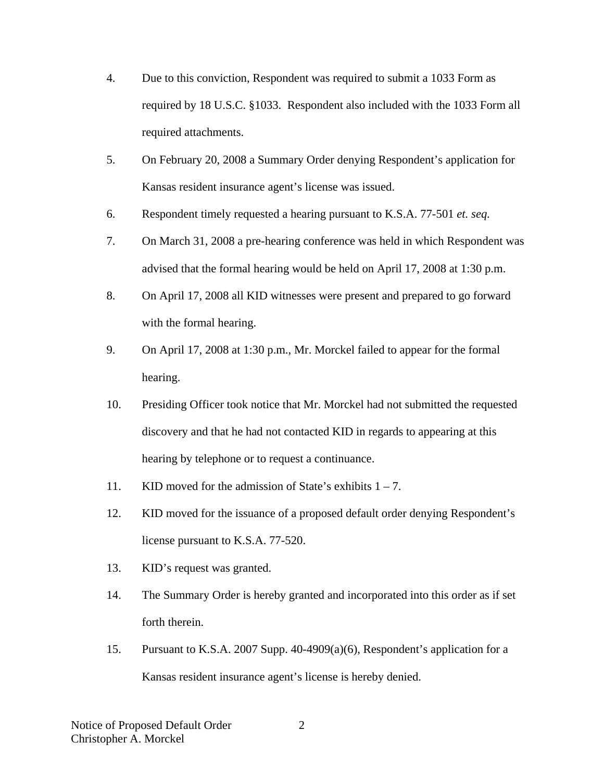- 4. Due to this conviction, Respondent was required to submit a 1033 Form as required by 18 U.S.C. §1033. Respondent also included with the 1033 Form all required attachments.
- 5. On February 20, 2008 a Summary Order denying Respondent's application for Kansas resident insurance agent's license was issued.
- 6. Respondent timely requested a hearing pursuant to K.S.A. 77-501 *et. seq.*
- 7. On March 31, 2008 a pre-hearing conference was held in which Respondent was advised that the formal hearing would be held on April 17, 2008 at 1:30 p.m.
- 8. On April 17, 2008 all KID witnesses were present and prepared to go forward with the formal hearing.
- 9. On April 17, 2008 at 1:30 p.m., Mr. Morckel failed to appear for the formal hearing.
- 10. Presiding Officer took notice that Mr. Morckel had not submitted the requested discovery and that he had not contacted KID in regards to appearing at this hearing by telephone or to request a continuance.
- 11. KID moved for the admission of State's exhibits  $1 7$ .
- 12. KID moved for the issuance of a proposed default order denying Respondent's license pursuant to K.S.A. 77-520.
- 13. KID's request was granted.
- 14. The Summary Order is hereby granted and incorporated into this order as if set forth therein.
- 15. Pursuant to K.S.A. 2007 Supp. 40-4909(a)(6), Respondent's application for a Kansas resident insurance agent's license is hereby denied.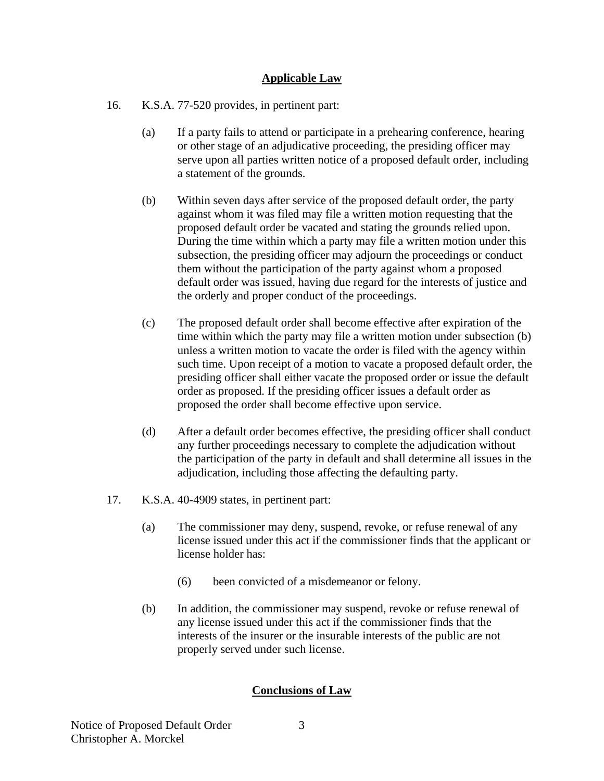## **Applicable Law**

- 16. K.S.A. 77-520 provides, in pertinent part:
	- (a) If a party fails to attend or participate in a prehearing conference, hearing or other stage of an adjudicative proceeding, the presiding officer may serve upon all parties written notice of a proposed default order, including a statement of the grounds.
	- (b) Within seven days after service of the proposed default order, the party against whom it was filed may file a written motion requesting that the proposed default order be vacated and stating the grounds relied upon. During the time within which a party may file a written motion under this subsection, the presiding officer may adjourn the proceedings or conduct them without the participation of the party against whom a proposed default order was issued, having due regard for the interests of justice and the orderly and proper conduct of the proceedings.
	- (c) The proposed default order shall become effective after expiration of the time within which the party may file a written motion under subsection (b) unless a written motion to vacate the order is filed with the agency within such time. Upon receipt of a motion to vacate a proposed default order, the presiding officer shall either vacate the proposed order or issue the default order as proposed. If the presiding officer issues a default order as proposed the order shall become effective upon service.
	- (d) After a default order becomes effective, the presiding officer shall conduct any further proceedings necessary to complete the adjudication without the participation of the party in default and shall determine all issues in the adjudication, including those affecting the defaulting party.
- 17. K.S.A. 40-4909 states, in pertinent part:
	- (a) The commissioner may deny, suspend, revoke, or refuse renewal of any license issued under this act if the commissioner finds that the applicant or license holder has:
		- (6) been convicted of a misdemeanor or felony.
	- (b) In addition, the commissioner may suspend, revoke or refuse renewal of any license issued under this act if the commissioner finds that the interests of the insurer or the insurable interests of the public are not properly served under such license.

#### **Conclusions of Law**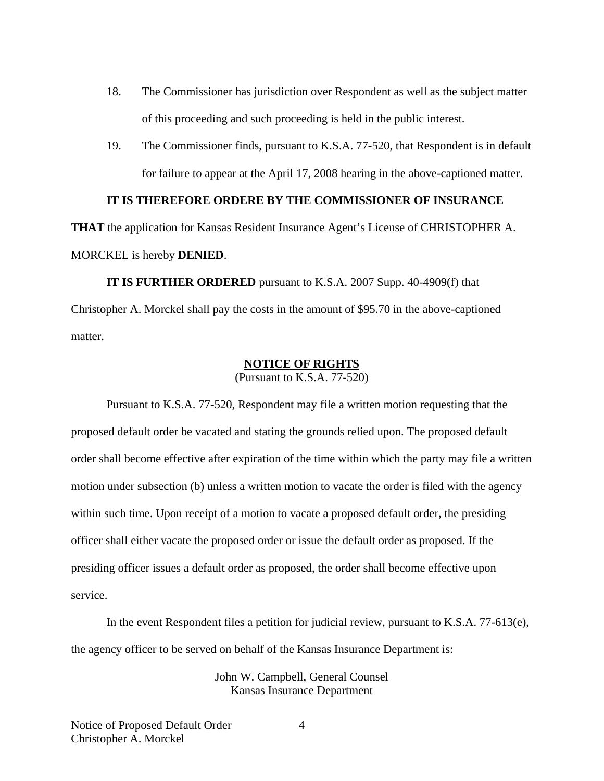- 18. The Commissioner has jurisdiction over Respondent as well as the subject matter of this proceeding and such proceeding is held in the public interest.
- 19. The Commissioner finds, pursuant to K.S.A. 77-520, that Respondent is in default for failure to appear at the April 17, 2008 hearing in the above-captioned matter.

## **IT IS THEREFORE ORDERE BY THE COMMISSIONER OF INSURANCE**

**THAT** the application for Kansas Resident Insurance Agent's License of CHRISTOPHER A. MORCKEL is hereby **DENIED**.

 **IT IS FURTHER ORDERED** pursuant to K.S.A. 2007 Supp. 40-4909(f) that Christopher A. Morckel shall pay the costs in the amount of \$95.70 in the above-captioned matter.

#### **NOTICE OF RIGHTS**

(Pursuant to K.S.A. 77-520)

Pursuant to K.S.A. 77-520, Respondent may file a written motion requesting that the proposed default order be vacated and stating the grounds relied upon. The proposed default order shall become effective after expiration of the time within which the party may file a written motion under subsection (b) unless a written motion to vacate the order is filed with the agency within such time. Upon receipt of a motion to vacate a proposed default order, the presiding officer shall either vacate the proposed order or issue the default order as proposed. If the presiding officer issues a default order as proposed, the order shall become effective upon service.

In the event Respondent files a petition for judicial review, pursuant to K.S.A. 77-613(e), the agency officer to be served on behalf of the Kansas Insurance Department is:

> John W. Campbell, General Counsel Kansas Insurance Department

4